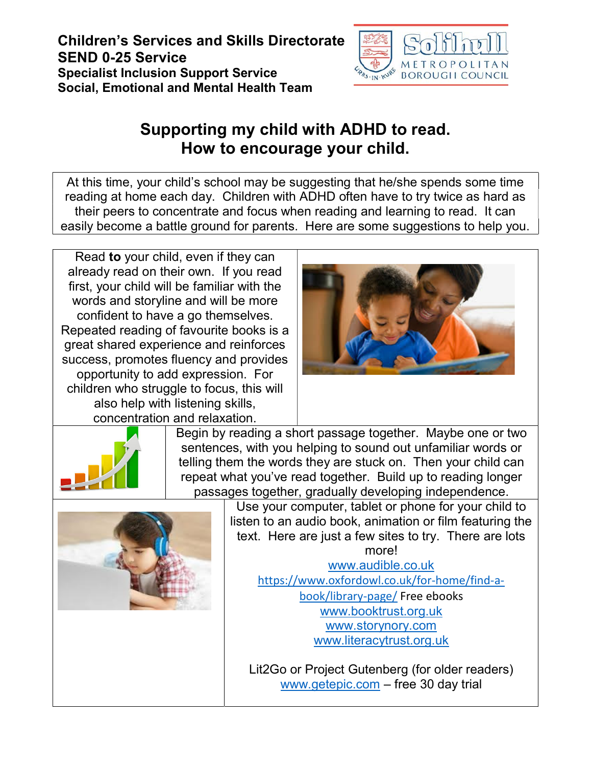## Children's Services and Skills Directorate SEND 0-25 Service Specialist Inclusion Support Service Social, Emotional and Mental Health Team



## Supporting my child with ADHD to read. How to encourage your child.

At this time, your child's school may be suggesting that he/she spends some time reading at home each day. Children with ADHD often have to try twice as hard as their peers to concentrate and focus when reading and learning to read. It can easily become a battle ground for parents. Here are some suggestions to help you.

Read to your child, even if they can already read on their own. If you read first, your child will be familiar with the words and storyline and will be more confident to have a go themselves. Repeated reading of favourite books is a great shared experience and reinforces success, promotes fluency and provides opportunity to add expression. For children who struggle to focus, this will also help with listening skills, concentration and relaxation.



Begin by reading a short passage together. Maybe one or two sentences, with you helping to sound out unfamiliar words or telling them the words they are stuck on. Then your child can repeat what you've read together. Build up to reading longer passages together, gradually developing independence.



Use your computer, tablet or phone for your child to listen to an audio book, animation or film featuring the text. Here are just a few sites to try. There are lots more!

www.audible.co.uk https://www.oxfordowl.co.uk/for-home/find-abook/library-page/ Free ebooks www.booktrust.org.uk www.storynory.com www.literacytrust.org.uk

Lit2Go or Project Gutenberg (for older readers) www.getepic.com – free 30 day trial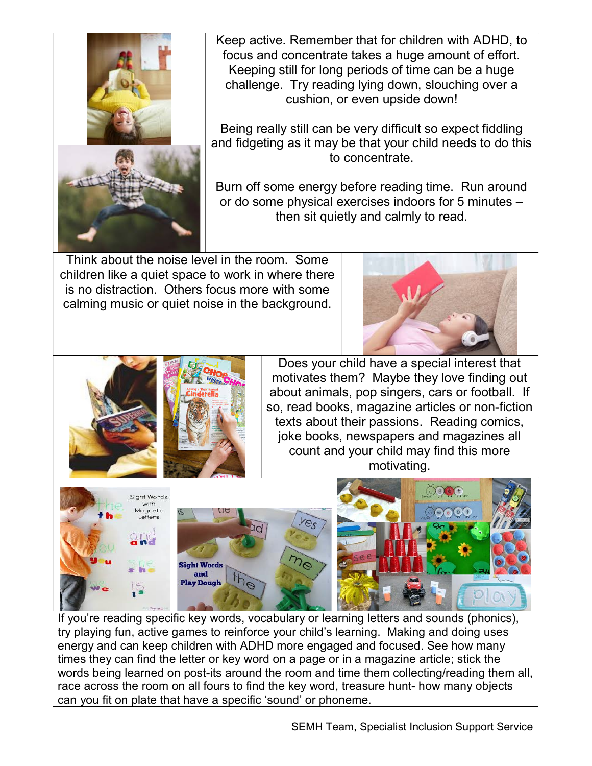

Keep active. Remember that for children with ADHD, to focus and concentrate takes a huge amount of effort. Keeping still for long periods of time can be a huge challenge. Try reading lying down, slouching over a cushion, or even upside down!

Being really still can be very difficult so expect fiddling and fidgeting as it may be that your child needs to do this to concentrate.

Burn off some energy before reading time. Run around or do some physical exercises indoors for 5 minutes – then sit quietly and calmly to read.

Think about the noise level in the room. Some children like a quiet space to work in where there is no distraction. Others focus more with some calming music or quiet noise in the background.





Does your child have a special interest that motivates them? Maybe they love finding out about animals, pop singers, cars or football. If so, read books, magazine articles or non-fiction texts about their passions. Reading comics, joke books, newspapers and magazines all count and your child may find this more motivating.



If you're reading specific key words, vocabulary or learning letters and sounds (phonics), try playing fun, active games to reinforce your child's learning. Making and doing uses energy and can keep children with ADHD more engaged and focused. See how many times they can find the letter or key word on a page or in a magazine article; stick the words being learned on post-its around the room and time them collecting/reading them all, race across the room on all fours to find the key word, treasure hunt- how many objects can you fit on plate that have a specific 'sound' or phoneme.